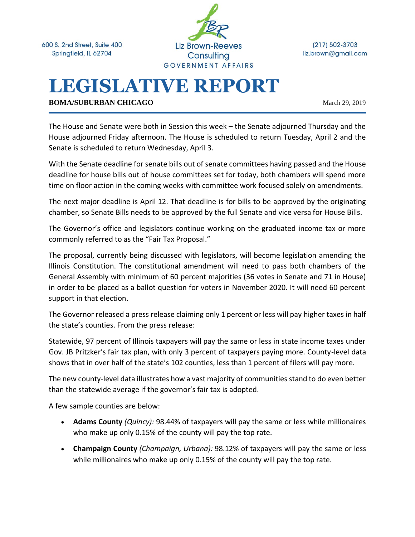600 S. 2nd Street, Suite 400 Springfield, IL 62704



 $(217) 502 - 3703$ liz.brown@gmail.com

# **LEGISLATIVE REPORT**

**BOMA/SUBURBAN CHICAGO** March 29, 2019

The House and Senate were both in Session this week – the Senate adjourned Thursday and the House adjourned Friday afternoon. The House is scheduled to return Tuesday, April 2 and the Senate is scheduled to return Wednesday, April 3.

With the Senate deadline for senate bills out of senate committees having passed and the House deadline for house bills out of house committees set for today, both chambers will spend more time on floor action in the coming weeks with committee work focused solely on amendments.

The next major deadline is April 12. That deadline is for bills to be approved by the originating chamber, so Senate Bills needs to be approved by the full Senate and vice versa for House Bills.

The Governor's office and legislators continue working on the graduated income tax or more commonly referred to as the "Fair Tax Proposal."

The proposal, currently being discussed with legislators, will become legislation amending the Illinois Constitution. The constitutional amendment will need to pass both chambers of the General Assembly with minimum of 60 percent majorities (36 votes in Senate and 71 in House) in order to be placed as a ballot question for voters in November 2020. It will need 60 percent support in that election.

The Governor released a press release claiming only 1 percent or less will pay higher taxes in half the state's counties. From the press release:

Statewide, 97 percent of Illinois taxpayers will pay the same or less in state income taxes under Gov. JB Pritzker's fair tax plan, with only 3 percent of taxpayers paying more. County-level data shows that in over half of the state's 102 counties, less than 1 percent of filers will pay more.

The new county-level data illustrates how a vast majority of communities stand to do even better than the statewide average if the governor's fair tax is adopted.

A few sample counties are below:

- **Adams County** *(Quincy):* 98.44% of taxpayers will pay the same or less while millionaires who make up only 0.15% of the county will pay the top rate.
- **Champaign County** *(Champaign, Urbana):* 98.12% of taxpayers will pay the same or less while millionaires who make up only 0.15% of the county will pay the top rate.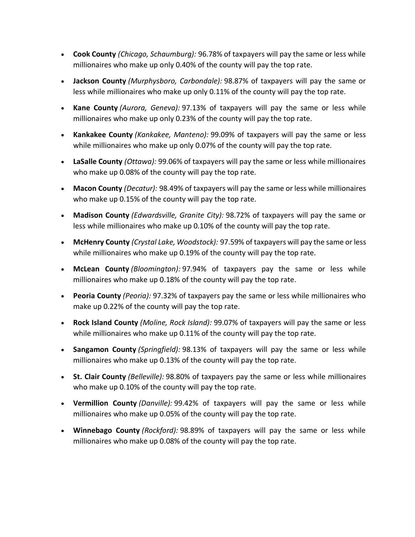- **Cook County** *(Chicago, Schaumburg):* 96.78% of taxpayers will pay the same or less while millionaires who make up only 0.40% of the county will pay the top rate.
- **Jackson County** *(Murphysboro, Carbondale):* 98.87% of taxpayers will pay the same or less while millionaires who make up only 0.11% of the county will pay the top rate.
- **Kane County** *(Aurora, Geneva):* 97.13% of taxpayers will pay the same or less while millionaires who make up only 0.23% of the county will pay the top rate.
- **Kankakee County** *(Kankakee, Manteno):* 99.09% of taxpayers will pay the same or less while millionaires who make up only 0.07% of the county will pay the top rate.
- **LaSalle County** *(Ottawa):* 99.06% of taxpayers will pay the same or less while millionaires who make up 0.08% of the county will pay the top rate.
- **Macon County** *(Decatur):* 98.49% of taxpayers will pay the same or less while millionaires who make up 0.15% of the county will pay the top rate.
- **Madison County** *(Edwardsville, Granite City):* 98.72% of taxpayers will pay the same or less while millionaires who make up 0.10% of the county will pay the top rate.
- **McHenry County** *(Crystal Lake, Woodstock):* 97.59% of taxpayers will pay the same or less while millionaires who make up 0.19% of the county will pay the top rate.
- **McLean County** *(Bloomington):* 97.94% of taxpayers pay the same or less while millionaires who make up 0.18% of the county will pay the top rate.
- **Peoria County** *(Peoria):* 97.32% of taxpayers pay the same or less while millionaires who make up 0.22% of the county will pay the top rate.
- **Rock Island County** *(Moline, Rock Island):* 99.07% of taxpayers will pay the same or less while millionaires who make up 0.11% of the county will pay the top rate.
- **Sangamon County** *(Springfield):* 98.13% of taxpayers will pay the same or less while millionaires who make up 0.13% of the county will pay the top rate.
- **St. Clair County** *(Belleville):* 98.80% of taxpayers pay the same or less while millionaires who make up 0.10% of the county will pay the top rate.
- **Vermillion County** *(Danville):* 99.42% of taxpayers will pay the same or less while millionaires who make up 0.05% of the county will pay the top rate.
- **Winnebago County** *(Rockford):* 98.89% of taxpayers will pay the same or less while millionaires who make up 0.08% of the county will pay the top rate.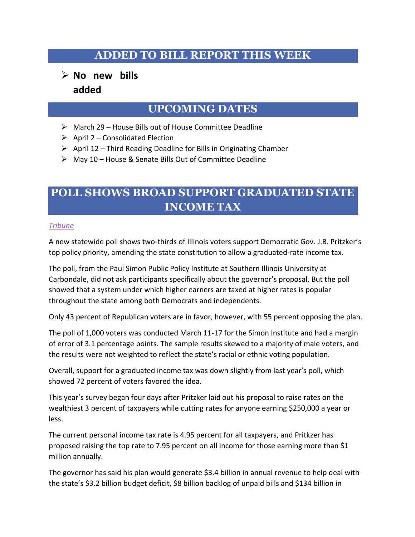### **ADDED TO BILL REPORT THIS WEEK**

### ➢ **No new bills added**

# **UPCOMING DATES**

- ➢ March 29 House Bills out of House Committee Deadline
- $\triangleright$  April 2 Consolidated Election
- $\triangleright$  April 12 Third Reading Deadline for Bills in Originating Chamber
- ➢ May 10 House & Senate Bills Out of Committee Deadline

# **POLL SHOWS BROAD SUPPORT GRADUATED STATE INCOME TAX**

#### *[Tribune](https://www.chicagotribune.com/news/local/politics/ct-met-jb-pritzker-graduated-income-tax-poll-20190326-story.html)*

A new statewide poll shows two-thirds of Illinois voters support Democratic Gov. J.B. Pritzker's top policy priority, amending the state constitution to allow a graduated-rate income tax.

The poll, from the Paul Simon Public Policy Institute at Southern Illinois University at Carbondale, did not ask participants specifically about the governor's proposal. But the poll showed that a system under which higher earners are taxed at higher rates is popular throughout the state among both Democrats and independents.

Only 43 percent of Republican voters are in favor, however, with 55 percent opposing the plan.

The poll of 1,000 voters was conducted March 11-17 for the Simon Institute and had a margin of error of 3.1 percentage points. The sample results skewed to a majority of male voters, and the results were not weighted to reflect the state's racial or ethnic voting population.

Overall, support for a graduated income tax was down slightly from last year's poll, which showed 72 percent of voters favored the idea.

This year's survey began four days after Pritzker laid out his proposal to raise rates on the wealthiest 3 percent of taxpayers while cutting rates for anyone earning \$250,000 a year or less.

The current personal income tax rate is 4.95 percent for all taxpayers, and Pritkzer has proposed raising the top rate to 7.95 percent on all income for those earning more than \$1 million annually.

The governor has said his plan would generate \$3.4 billion in annual revenue to help deal with the state's \$3.2 billion budget deficit, \$8 billion backlog of unpaid bills and \$134 billion in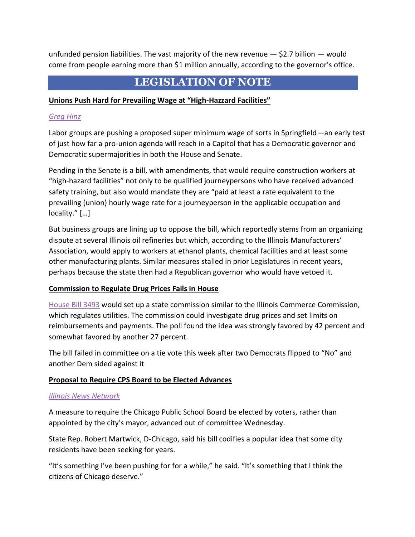unfunded pension liabilities. The vast majority of the new revenue  $-$  \$2.7 billion  $-$  would come from people earning more than \$1 million annually, according to the governor's office.

### **LEGISLATION OF NOTE**

### **Unions Push Hard for Prevailing Wage at "High-Hazzard Facilities"**

### *[Greg Hinz](https://www.chicagobusiness.com/greg-hinz-politics/why-biz-groups-are-lining-oppose-bill)*

Labor groups are pushing a proposed super minimum wage of sorts in Springfield—an early test of just how far a pro-union agenda will reach in a Capitol that has a Democratic governor and Democratic supermajorities in both the House and Senate.

Pending in the Senate is a bill, with amendments, that would require construction workers at "high-hazard facilities" not only to be qualified journeypersons who have received advanced safety training, but also would mandate they are "paid at least a rate equivalent to the prevailing (union) hourly wage rate for a journeyperson in the applicable occupation and locality." […]

But business groups are lining up to oppose the bill, which reportedly stems from an organizing dispute at several Illinois oil refineries but which, according to the Illinois Manufacturers' Association, would apply to workers at ethanol plants, chemical facilities and at least some other manufacturing plants. Similar measures stalled in prior Legislatures in recent years, perhaps because the state then had a Republican governor who would have vetoed it.

### **Commission to Regulate Drug Prices Fails in House**

[House Bill 3493](http://ilga.gov/legislation/BillStatus.asp?DocTypeID=HB&DocNum=3493&GAID=15&SessionID=108&LegID=120105) would set up a state commission similar to the Illinois Commerce Commission, which regulates utilities. The commission could investigate drug prices and set limits on reimbursements and payments. The poll found the idea was strongly favored by 42 percent and somewhat favored by another 27 percent.

The bill failed in committee on a tie vote this week after two Democrats flipped to "No" and another Dem sided against it

### **Proposal to Require CPS Board to be Elected Advances**

#### *[Illinois News Network](https://www.ilnews.org/news/schools/measure-to-make-elected-board-for-chicago-public-schools-advances/article_38e73e06-50a6-11e9-be86-0339d616e60b.html)*

A measure to require the Chicago Public School Board be elected by voters, rather than appointed by the city's mayor, advanced out of committee Wednesday.

State Rep. Robert Martwick, D-Chicago, said his bill codifies a popular idea that some city residents have been seeking for years.

"It's something I've been pushing for for a while," he said. "It's something that I think the citizens of Chicago deserve."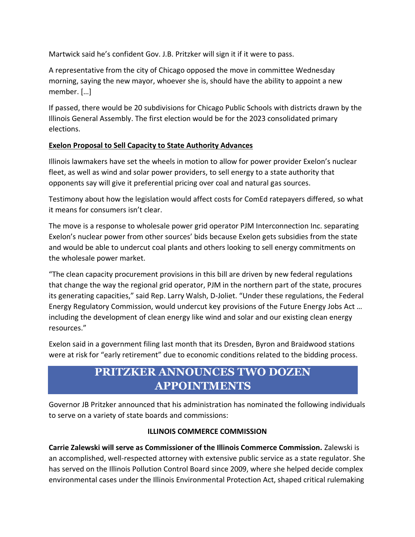Martwick said he's confident Gov. J.B. Pritzker will sign it if it were to pass.

A representative from the city of Chicago opposed the move in committee Wednesday morning, saying the new mayor, whoever she is, should have the ability to appoint a new member. […]

If passed, there would be 20 subdivisions for Chicago Public Schools with districts drawn by the Illinois General Assembly. The first election would be for the 2023 consolidated primary elections.

### **Exelon Proposal to Sell Capacity to State Authority Advances**

Illinois lawmakers have set the wheels in motion to allow for power provider Exelon's nuclear fleet, as well as wind and solar power providers, to sell energy to a state authority that opponents say will give it preferential pricing over coal and natural gas sources.

Testimony about how the legislation would affect costs for ComEd ratepayers differed, so what it means for consumers isn't clear.

The move is a response to wholesale power grid operator PJM Interconnection Inc. separating Exelon's nuclear power from other sources' bids because Exelon gets subsidies from the state and would be able to undercut coal plants and others looking to sell energy commitments on the wholesale power market.

"The clean capacity procurement provisions in this bill are driven by new federal regulations that change the way the regional grid operator, PJM in the northern part of the state, procures its generating capacities," said Rep. Larry Walsh, D-Joliet. "Under these regulations, the Federal Energy Regulatory Commission, would undercut key provisions of the Future Energy Jobs Act … including the development of clean energy like wind and solar and our existing clean energy resources."

Exelon said in a government filing last month that its Dresden, Byron and Braidwood stations were at risk for "early retirement" due to economic conditions related to the bidding process.

# **PRITZKER ANNOUNCES TWO DOZEN APPOINTMENTS**

Governor JB Pritzker announced that his administration has nominated the following individuals to serve on a variety of state boards and commissions:

### **ILLINOIS COMMERCE COMMISSION**

**Carrie Zalewski will serve as Commissioner of the Illinois Commerce Commission.** Zalewski is an accomplished, well-respected attorney with extensive public service as a state regulator. She has served on the Illinois Pollution Control Board since 2009, where she helped decide complex environmental cases under the Illinois Environmental Protection Act, shaped critical rulemaking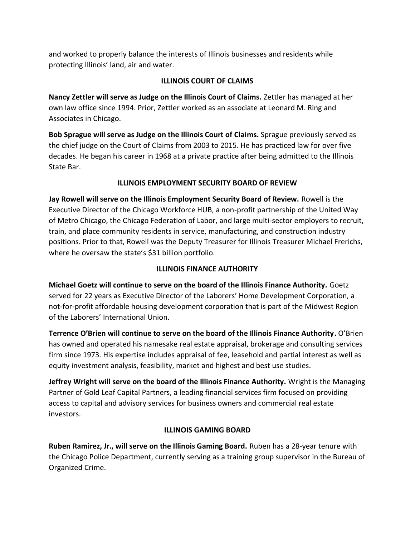and worked to properly balance the interests of Illinois businesses and residents while protecting Illinois' land, air and water.

### **ILLINOIS COURT OF CLAIMS**

**Nancy Zettler will serve as Judge on the Illinois Court of Claims.** Zettler has managed at her own law office since 1994. Prior, Zettler worked as an associate at Leonard M. Ring and Associates in Chicago.

**Bob Sprague will serve as Judge on the Illinois Court of Claims.** Sprague previously served as the chief judge on the Court of Claims from 2003 to 2015. He has practiced law for over five decades. He began his career in 1968 at a private practice after being admitted to the Illinois State Bar.

### **ILLINOIS EMPLOYMENT SECURITY BOARD OF REVIEW**

**Jay Rowell will serve on the Illinois Employment Security Board of Review.** Rowell is the Executive Director of the Chicago Workforce HUB, a non-profit partnership of the United Way of Metro Chicago, the Chicago Federation of Labor, and large multi-sector employers to recruit, train, and place community residents in service, manufacturing, and construction industry positions. Prior to that, Rowell was the Deputy Treasurer for Illinois Treasurer Michael Frerichs, where he oversaw the state's \$31 billion portfolio.

### **ILLINOIS FINANCE AUTHORITY**

**Michael Goetz will continue to serve on the board of the Illinois Finance Authority.** Goetz served for 22 years as Executive Director of the Laborers' Home Development Corporation, a not-for-profit affordable housing development corporation that is part of the Midwest Region of the Laborers' International Union.

**Terrence O'Brien will continue to serve on the board of the Illinois Finance Authority.** O'Brien has owned and operated his namesake real estate appraisal, brokerage and consulting services firm since 1973. His expertise includes appraisal of fee, leasehold and partial interest as well as equity investment analysis, feasibility, market and highest and best use studies.

**Jeffrey Wright will serve on the board of the Illinois Finance Authority.** Wright is the Managing Partner of Gold Leaf Capital Partners, a leading financial services firm focused on providing access to capital and advisory services for business owners and commercial real estate investors.

### **ILLINOIS GAMING BOARD**

**Ruben Ramirez, Jr., will serve on the Illinois Gaming Board.** Ruben has a 28-year tenure with the Chicago Police Department, currently serving as a training group supervisor in the Bureau of Organized Crime.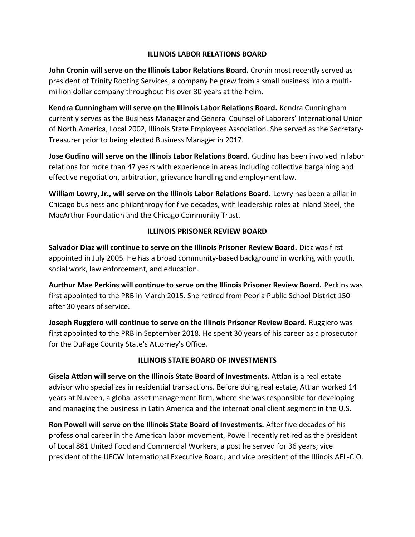#### **ILLINOIS LABOR RELATIONS BOARD**

**John Cronin will serve on the Illinois Labor Relations Board.** Cronin most recently served as president of Trinity Roofing Services, a company he grew from a small business into a multimillion dollar company throughout his over 30 years at the helm.

**Kendra Cunningham will serve on the Illinois Labor Relations Board.** Kendra Cunningham currently serves as the Business Manager and General Counsel of Laborers' International Union of North America, Local 2002, Illinois State Employees Association. She served as the Secretary-Treasurer prior to being elected Business Manager in 2017.

**Jose Gudino will serve on the Illinois Labor Relations Board.** Gudino has been involved in labor relations for more than 47 years with experience in areas including collective bargaining and effective negotiation, arbitration, grievance handling and employment law.

**William Lowry, Jr., will serve on the Illinois Labor Relations Board.** Lowry has been a pillar in Chicago business and philanthropy for five decades, with leadership roles at Inland Steel, the MacArthur Foundation and the Chicago Community Trust.

### **ILLINOIS PRISONER REVIEW BOARD**

**Salvador Diaz will continue to serve on the Illinois Prisoner Review Board.** Diaz was first appointed in July 2005. He has a broad community-based background in working with youth, social work, law enforcement, and education.

**Aurthur Mae Perkins will continue to serve on the Illinois Prisoner Review Board.** Perkins was first appointed to the PRB in March 2015. She retired from Peoria Public School District 150 after 30 years of service.

**Joseph Ruggiero will continue to serve on the Illinois Prisoner Review Board.** Ruggiero was first appointed to the PRB in September 2018. He spent 30 years of his career as a prosecutor for the DuPage County State's Attorney's Office.

### **ILLINOIS STATE BOARD OF INVESTMENTS**

**Gisela Attlan will serve on the Illinois State Board of Investments.** Attlan is a real estate advisor who specializes in residential transactions. Before doing real estate, Attlan worked 14 years at Nuveen, a global asset management firm, where she was responsible for developing and managing the business in Latin America and the international client segment in the U.S.

**Ron Powell will serve on the Illinois State Board of Investments.** After five decades of his professional career in the American labor movement, Powell recently retired as the president of Local 881 United Food and Commercial Workers, a post he served for 36 years; vice president of the UFCW International Executive Board; and vice president of the Illinois AFL-CIO.